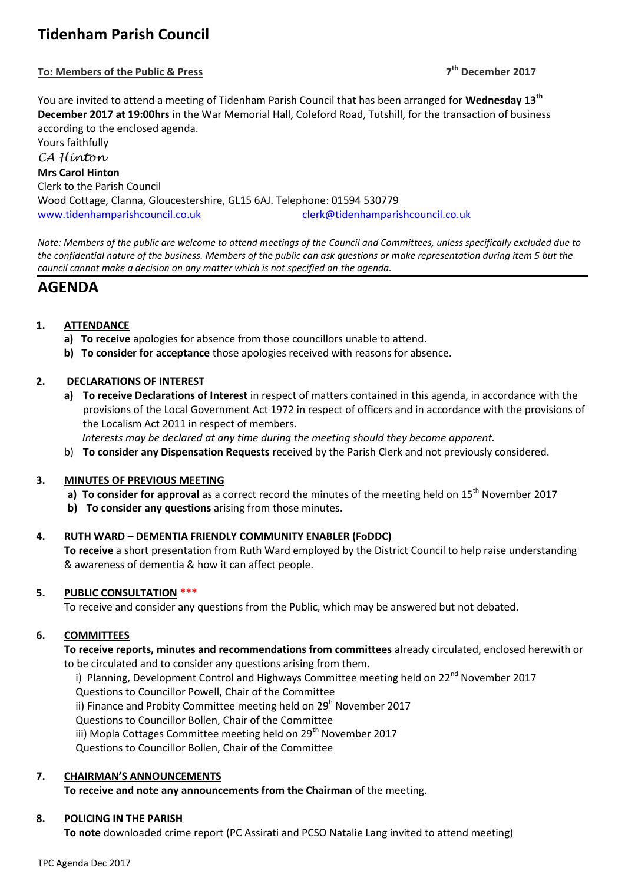# **Tidenham Parish Council**

# **To: Members of the Public & Press 7**

**th December 2017**

You are invited to attend a meeting of Tidenham Parish Council that has been arranged for **Wednesday 13th December 2017 at 19:00hrs** in the War Memorial Hall, Coleford Road, Tutshill, for the transaction of business according to the enclosed agenda.

Yours faithfully *CA Hinton* **Mrs Carol Hinton** Clerk to the Parish Council Wood Cottage, Clanna, Gloucestershire, GL15 6AJ. Telephone: 01594 530779 [www.tidenhamparishcouncil.co.uk](http://www.tidenhamparishcouncil.co.uk/) [clerk@tidenhamparishcouncil.co.uk](mailto:clerk@tidenhamparishcouncil.co.uk)

*Note: Members of the public are welcome to attend meetings of the Council and Committees, unless specifically excluded due to the confidential nature of the business. Members of the public can ask questions or make representation during item 5 but the council cannot make a decision on any matter which is not specified on the agenda.*

# **AGENDA**

# **1. ATTENDANCE**

- **a) To receive** apologies for absence from those councillors unable to attend.
- **b) To consider for acceptance** those apologies received with reasons for absence.

# **2. DECLARATIONS OF INTEREST**

**a) To receive Declarations of Interest** in respect of matters contained in this agenda, in accordance with the provisions of the Local Government Act 1972 in respect of officers and in accordance with the provisions of the Localism Act 2011 in respect of members.

 *Interests may be declared at any time during the meeting should they become apparent.*

b) **To consider any Dispensation Requests** received by the Parish Clerk and not previously considered.

# **3. MINUTES OF PREVIOUS MEETING**

- a) **To consider for approval** as a correct record the minutes of the meeting held on 15<sup>th</sup> November 2017
- **b) To consider any questions** arising from those minutes.

# **4. RUTH WARD – DEMENTIA FRIENDLY COMMUNITY ENABLER (FoDDC)**

**To receive** a short presentation from Ruth Ward employed by the District Council to help raise understanding & awareness of dementia & how it can affect people.

# **5. PUBLIC CONSULTATION \*\*\***

To receive and consider any questions from the Public, which may be answered but not debated.

# **6. COMMITTEES**

**To receive reports, minutes and recommendations from committees** already circulated, enclosed herewith or to be circulated and to consider any questions arising from them.

i) Planning, Development Control and Highways Committee meeting held on 22<sup>nd</sup> November 2017 Questions to Councillor Powell, Chair of the Committee ii) Finance and Probity Committee meeting held on  $29<sup>h</sup>$  November 2017 Questions to Councillor Bollen, Chair of the Committee iii) Mopla Cottages Committee meeting held on  $29<sup>th</sup>$  November 2017 Questions to Councillor Bollen, Chair of the Committee

# **7. CHAIRMAN'S ANNOUNCEMENTS**

**To receive and note any announcements from the Chairman** of the meeting.

# **8. POLICING IN THE PARISH**

**To note** downloaded crime report (PC Assirati and PCSO Natalie Lang invited to attend meeting)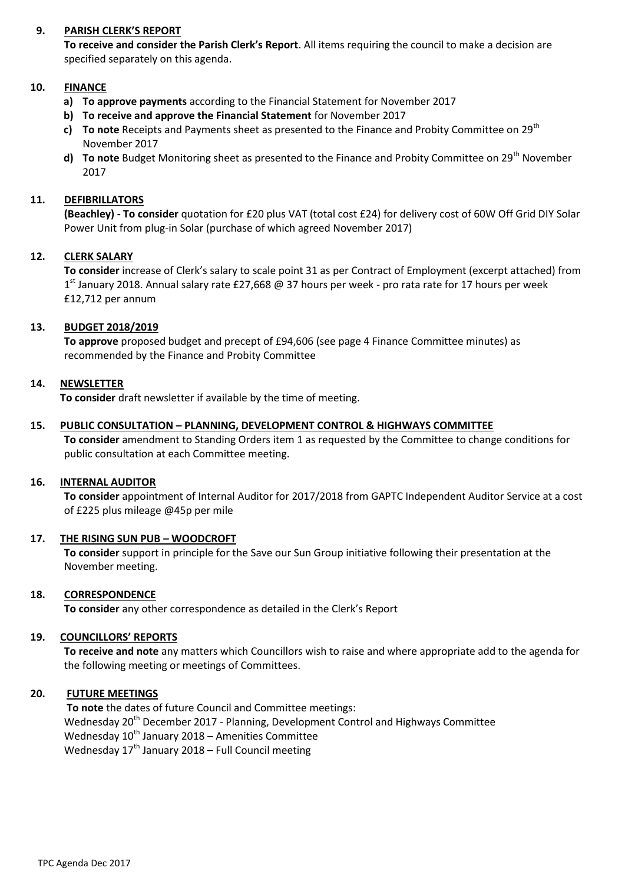# **9. PARISH CLERK'S REPORT**

**To receive and consider the Parish Clerk's Report**. All items requiring the council to make a decision are specified separately on this agenda.

# **10. FINANCE**

- **a) To approve payments** according to the Financial Statement for November 2017
- **b) To receive and approve the Financial Statement** for November 2017
- **c) To note** Receipts and Payments sheet as presented to the Finance and Probity Committee on 29<sup>th</sup> November 2017
- **d) To note** Budget Monitoring sheet as presented to the Finance and Probity Committee on 29<sup>th</sup> November 2017

# **11. DEFIBRILLATORS**

**(Beachley) - To consider** quotation for £20 plus VAT (total cost £24) for delivery cost of 60W Off Grid DIY Solar Power Unit from plug-in Solar (purchase of which agreed November 2017)

# **12. CLERK SALARY**

**To consider** increase of Clerk's salary to scale point 31 as per Contract of Employment (excerpt attached) from 1<sup>st</sup> January 2018. Annual salary rate £27,668 @ 37 hours per week - pro rata rate for 17 hours per week £12,712 per annum

# **13. BUDGET 2018/2019**

**To approve** proposed budget and precept of £94,606 (see page 4 Finance Committee minutes) as recommended by the Finance and Probity Committee

# **14. NEWSLETTER**

**To consider** draft newsletter if available by the time of meeting.

# **15. PUBLIC CONSULTATION – PLANNING, DEVELOPMENT CONTROL & HIGHWAYS COMMITTEE**

**To consider** amendment to Standing Orders item 1 as requested by the Committee to change conditions for public consultation at each Committee meeting.

# **16. INTERNAL AUDITOR**

**To consider** appointment of Internal Auditor for 2017/2018 from GAPTC Independent Auditor Service at a cost of £225 plus mileage @45p per mile

# **17. THE RISING SUN PUB – WOODCROFT**

**To consider** support in principle for the Save our Sun Group initiative following their presentation at the November meeting.

# **18. CORRESPONDENCE**

**To consider** any other correspondence as detailed in the Clerk's Report

# **19. COUNCILLORS' REPORTS**

**To receive and note** any matters which Councillors wish to raise and where appropriate add to the agenda for the following meeting or meetings of Committees.

# **20. FUTURE MEETINGS**

**To note** the dates of future Council and Committee meetings: Wednesday 20<sup>th</sup> December 2017 - Planning, Development Control and Highways Committee Wednesday  $10^{th}$  January 2018 – Amenities Committee Wednesday  $17<sup>th</sup>$  January 2018 – Full Council meeting